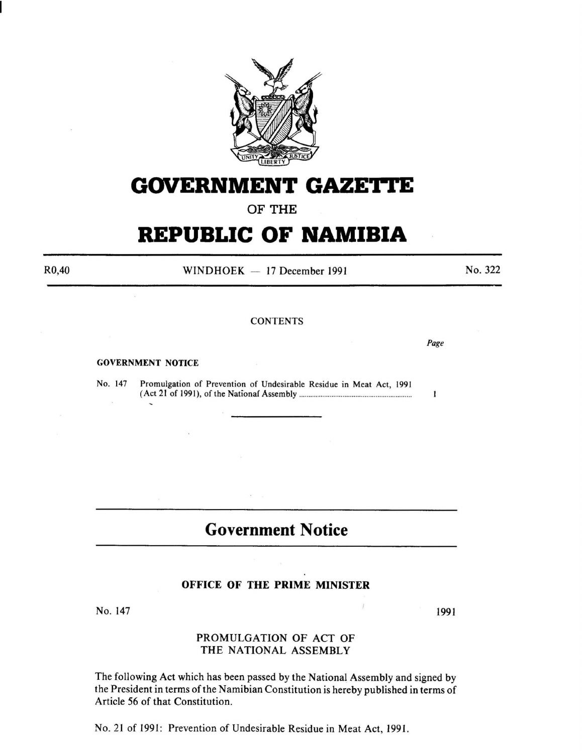

# **GOVERNMENT GAZETTE**

**OF THE** 

# **REPUBLIC OF NAMIBIA**

R0,40

 $WINDHOEK - 17 December 1991$ 

No. 322

*Page* 

 $\mathbf{I}$ 

#### **CONTENTS**

GOVERNMENT NOTICE

No. 147 Promulgation of Prevention of Undesirable Residue in Meat Act, 1991 (Act 21 of 1991 ), of the Nationaf Assembly ........................................ .. .................. .

# **Government Notice**

#### **OFFICE OF THE PRIME MINISTER**

No. 147

# PROMULGATION OF ACT OF THE NATIONAL ASSEMBLY

The following Act which has been passed by the National Assembly and signed by the President in terms of the Namibian Constitution is hereby published in terms of Article 56 of that Constitution.

No. 21 of 1991: Prevention of Undesirable Residue in Meat Act, 1991.

1991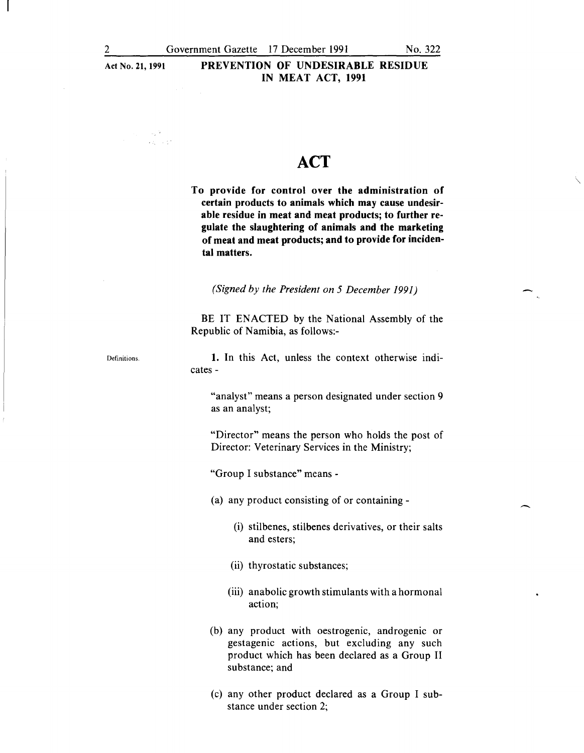ina (na)<br>Transferansi

# Act No. **21, 1991 PREVENTION OF UNDESIRABLE RESIDUE IN MEAT ACT, 1991**

# **ACT**

**To provide for control over the administration of certain products to animals which may cause undesirable residue in meat and meat products; to further regulate the slaughtering of animals and the marketing of meat and meat products; and to provide for incidental matters.** 

*(Signed by the President on 5 December 1991)* 

BE IT ENACTED by the National Assembly of the Republic of Namibia, as follows:-

**1.** In this Act, unless the context otherwise indi-

cates-

"analyst" means a person designated under section 9 as an analyst;

"Director" means the person who holds the post of Director: Veterinary Services in the Ministry;

"Group I substance" means -

(a) any product consisting of or containing-

(i) stilbenes, stilbenes derivatives, or their salts and esters;

(ii) thyrostatic substances;

(iii) anabolic growth stimulants with a hormonal action;

(b) any product with oestrogenic, androgenic or gestagenic actions, but excluding any such product which has been declared as a Group II substance; and

(c) any other product declared as a Group I substance under section 2;

 $\mathcal{A}_\mathbf{r}$ 

 $\mathbf{I}$ 

Definitions.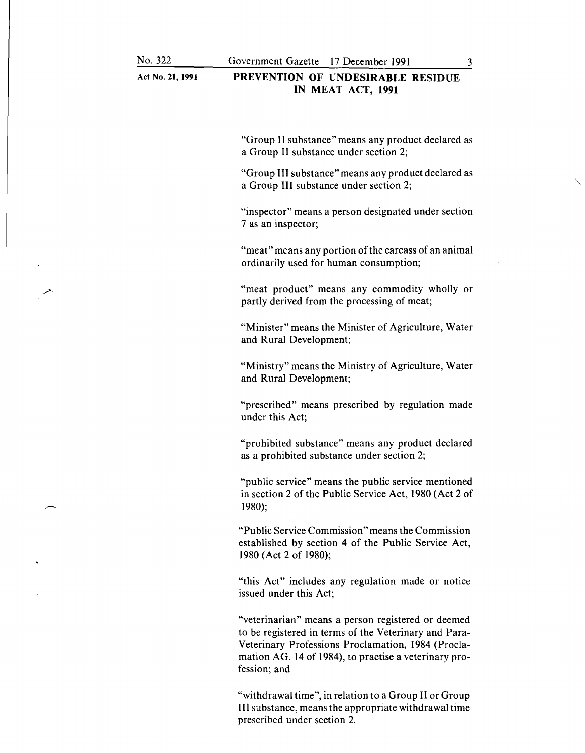Act No. **21, 1991** 

#### **PREVENTION OF UNDESIRABLE RESIDUE IN MEAT ACT, 1991**

"Group II substance" means any product declared as a Group II substance under section 2;

"Group III substance" means any product declared as a Group III substance under section 2;

"inspector" means a person designated under section 7 as an inspector;

"meat" means any portion of the carcass of an animal ordinarily used for human consumption;

"meat product" means any commodity wholly or partly derived from the processing of meat;

"Minister" means the Minister of Agriculture, Water and Rural Development;

"Ministry" means the Ministry of Agriculture, Water and Rural Development;

"prescribed" means prescribed by regulation made under this Act;

"prohibited substance" means any product declared as a prohibited substance under section 2;

"public service" means the public service mentioned in section 2 of the Public Service Act, 1980 (Act 2 of 1980);

"Public Service Commission" means the Commission established by section 4 of the Public Service Act, 1980 (Act 2 of 1980);

"this Act" includes any regulation made or notice issued under this Act;

"veterinarian" means a person registered or deemed to be registered in terms of the Veterinary and Para-Veterinary Professions Proclamation, 1984 (Proclamation AG. 14 of 1984), to practise a veterinary profession; and

"withdrawal time", in relation to a Group II or Group III substance, means the appropriate withdrawal time prescribed under section 2.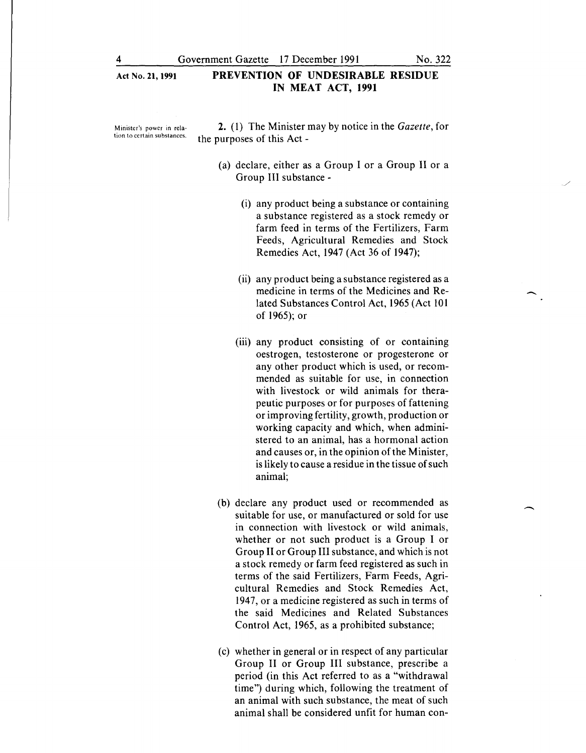Minister's power in rela**tion to certain substances.** 

**2.** (1) The Minister may by notice in the *Gazette,* for the purposes of this Act -

- (a) declare, either as a Group I or a Group II or a Group III substance-
	- (i) any product being a substance or containing a substance registered as a stock remedy or farm feed in terms of the Fertilizers, Farm Feeds, Agricultural Remedies and Stock Remedies Act, 1947 (Act 36 of 1947);
	- (ii) any product being a substance registered as a medicine in terms of the Medicines and Related Substances Control Act, 1965 (Act 101 of 1965); or
	- (iii) any product consisting of or contammg oestrogen, testosterone or progesterone or any other product which is used, or recommended as suitable for use, in connection with livestock or wild animals for therapeutic purposes or for purposes of fattening or improving fertility, growth, production or working capacity and which, when administered to an animal, has a hormonal action and causes or, in the opinion of the Minister, is likely to cause a residue in the tissue of such animal;
- (b) declare any product used or recommended as suitable for use, or manufactured or sold for use in connection with livestock or wild animals, whether or not such product is a Group I or Group II or Group III substance, and which is not a stock remedy or farm feed registered as such in terms of the said Fertilizers, Farm Feeds, Agricultural Remedies and Stock Remedies Act, 1947, or a medicine registered as such in terms of the said Medicines and Related Substances Control Act, 1965, as a prohibited substance;
- (c) whether in general or in respect of any particular Group II or Group III substance, prescribe a period (in this Act referred to as a "withdrawal time") during which, following the treatment of an animal with such substance, the meat of such animal shall be considered unfit for human con-

/

 $\overline{\phantom{a}}$ 

-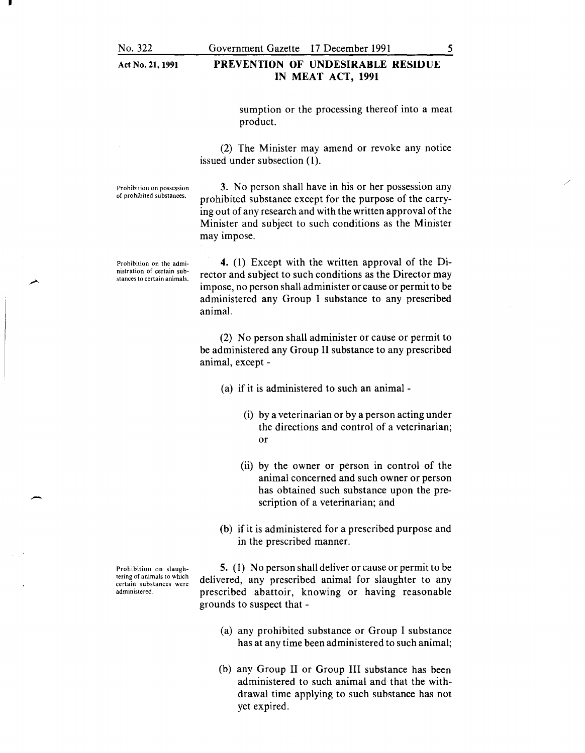E.

-

Act No. 21, 1991

#### PREVENTION OF UNDESIRABLE RESIDUE IN MEAT ACT, 1991

sumption or the processing thereof into a meat product.

(2) The Minister may amend or revoke any notice issued under subsection (1).

Prohibition on possession of prohibited substances.

3. No person shall have in his or her possession any prohibited substance except for the purpose of the carrying out of any research and with the written approval of the Minister and subject to such conditions as the Minister may impose.

Prohibition on the administration of certain substances to certain animals.

4. (1) Except with the written approval of the Director and subject to such conditions as the Director may impose, no person shall administer or cause or permit to be administered any Group I substance to any prescribed animal.

(2) No person shall administer or cause or permit to be administered any Group II substance to any prescribed animal, except -

(a) if it is administered to such an animal-

- (i) by a veterinarian or by a person acting under the directions and control of a veterinarian; or
- (ii) by the owner or person in control of the animal concerned and such owner or person has obtained such substance upon the prescription of a veterinarian; and
- (b) if it is administered for a prescribed purpose and in the prescribed manner.

5. ( 1) No person shall deliver or cause or permit to be delivered, any prescribed animal for slaughter to any prescribed abattoir, knowing or having reasonable grounds to suspect that -

- (a) any prohibited substance or Group I substance has at any time been administered to such animal;
- (b) any Group II or Group III substance has been administered to such animal and that the withdrawal time applying to such substance has not yet expired.

Prohibition on slaughtering of animals to which certain substances were administered.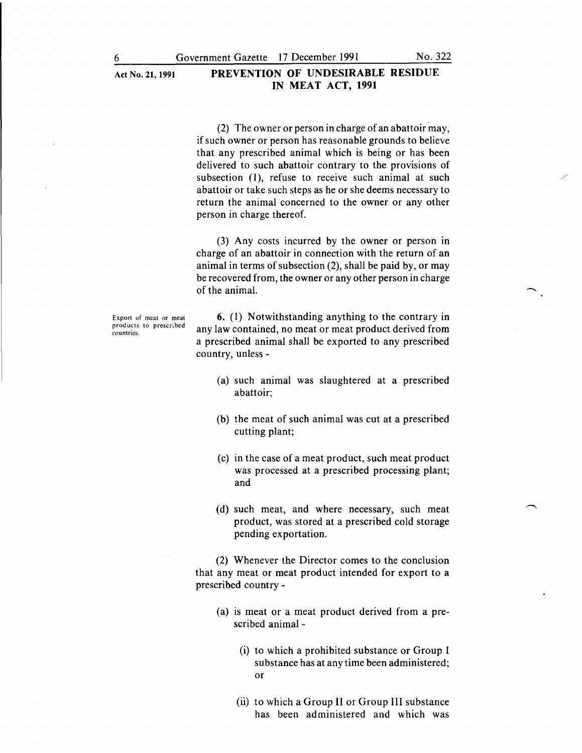(2) The owner or person in charge of an abattoir may, if such owner or person has reasonable grounds to believe that any prescribed animal which is being or has been delivered to such abattoir contrary to the provisions of subsection (1), refuse to receive such animal at such abattoir or take such steps as he or she deems necessary to return the animal concerned to the owner or any other person in charge thereof.

(3) Any costs incurred by the owner or person in charge of an abattoir in connection with the return of an animal in terms of subsection (2), shall be paid by, or may be recovered from, the owner or any other person in charge of the animal.

Export of meat or meat products to prescribed **countries.** 

**6. ( 1)** Notwithstanding anything to the contrary in any law contained, no meat or meat product derived from a prescribed animal shall be exported to any prescribed country, unless -

- (a) such animal was slaughtered at a prescribed abattoir;
- (b) the meat of such animal was cut at a prescribed cutting plant;
- (c) in the case of a meat product, such meat product was processed at a prescribed processing plant; and
- (d) such meat, and where necessary, such meat product, was stored at a prescribed cold storage pending exportation.

(2) Whenever the Director comes to the conclusion that any meat or meat product intended for export to a prescribed country-

- (a) is meat or a meat product derived from a prescribed animal -
	- (i) to which a prohibited substance or Group I substance has at any time been administered; or
	- (ii) to which a Group II or Group III substance has been administered and which was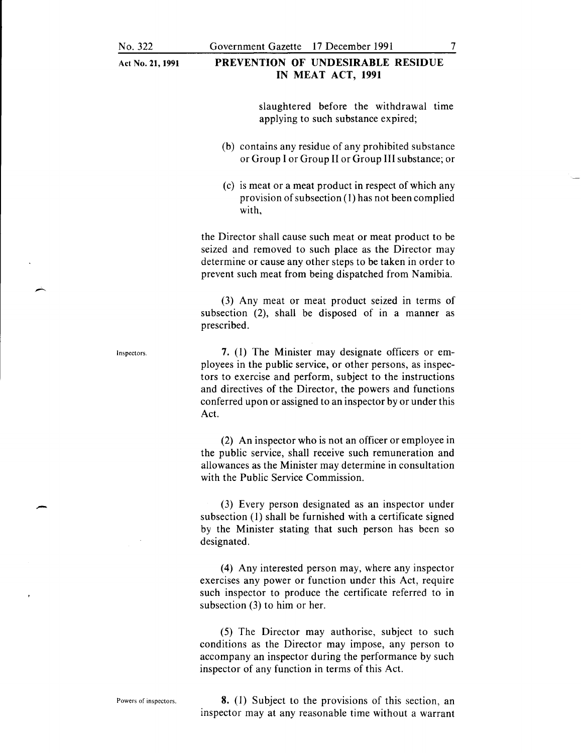### Government Gazette I7 December I99I

# **PREVENTION OF UNDESIRABLE RESIDUE IN MEAT ACT, 1991**

slaughtered before the withdrawal time applying to such substance expired;

- (b) contains any residue of any prohibited substance or Group I or Group II or Group III substance; or
- (c) is meat or a meat product in respect of which any provision of subsection (I) has not been complied with,

the Director shall cause such meat or meat product to be seized and removed to such place as the Director may determine or cause any other steps to be taken in order to prevent such meat from being dispatched from Namibia.

(3) Any meat or meat product seized in terms of subsection (2), shall be disposed of in a manner as prescribed.

**7.** (I) The Minister may designate officers or employees in the public service, or other persons, as inspectors to exercise and perform, subject to the instructions and directives of the Director, the powers and functions conferred upon or assigned to an inspector by or under this Act.

(2) An inspector who is not an officer or employee in the public service, shall receive such remuneration and allowances as the Minister may determine in consultation with the Public Service Commission.

(3) Every person designated as an inspector under subsection (1) shall be furnished with a certificate signed by the Minister stating that such person has been so designated.

(4) Any interested person may, where any inspector exercises any power or function under this Act, require such inspector to produce the certificate referred to in subsection (3) to him or her.

(5) The Director may authorise, subject to such conditions as the Director may impose, any person to accompany an inspector during the performance by such inspector of any function in terms of this Act.

**8.** (I) Subject to the provisions of this section, an inspector may at any reasonable time without a warrant

Inspectors.

-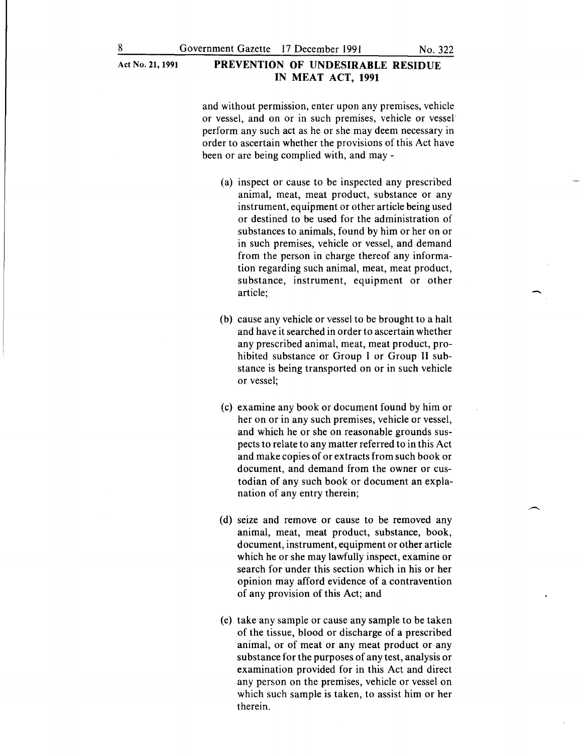and without permission, enter upon any premises, vehicle or vessel, and on or in such premises, vehicle or vessel perform any such act as he or she may deem necessary in order to ascertain whether the provisions of this Act have been or are being complied with, and may-

- (a) inspect or cause to be inspected any prescribed animal, meat, meat product, substance or any instrument, equipment or other article being used or destined to be used for the administration of substances to animals, found by him or her on or in such premises, vehicle or vessel, and demand from the person in charge thereof any information regarding such animal, meat, meat product, substance, instrument, equipment or other article;
- (b) cause any vehicle or vessel to be brought to a halt and have it searched in order to ascertain whether any prescribed animal, meat, meat product, prohibited substance or Group I or Group II substance is being transported on or in such vehicle or vessel;
- (c) examine any book or document found by him or her on or in any such premises, vehicle or vessel, and which he or she on reasonable grounds suspects to relate to any matter referred to in this Act and make copies of or extracts from such book or document, and demand from the owner or custodian of any such book or document an explanation of any entry therein;
- (d) seize and remove or cause to be removed any animal, meat, meat product, substance, book, document, instrument, equipment or other article which he or she may lawfully inspect, examine or search for under this section which in his or her opinion may afford evidence of a contravention of any provision of this Act; and
- (e) take any sample or cause any sample to be taken of the tissue, blood or discharge of a prescribed animal, or of meat or any meat product or any substance for the purposes of any test, analysis or examination provided for in this Act and direct any person on the premises, vehicle or vessel on which such sample is taken, to assist him or her therein.

 $\overline{\phantom{a}}$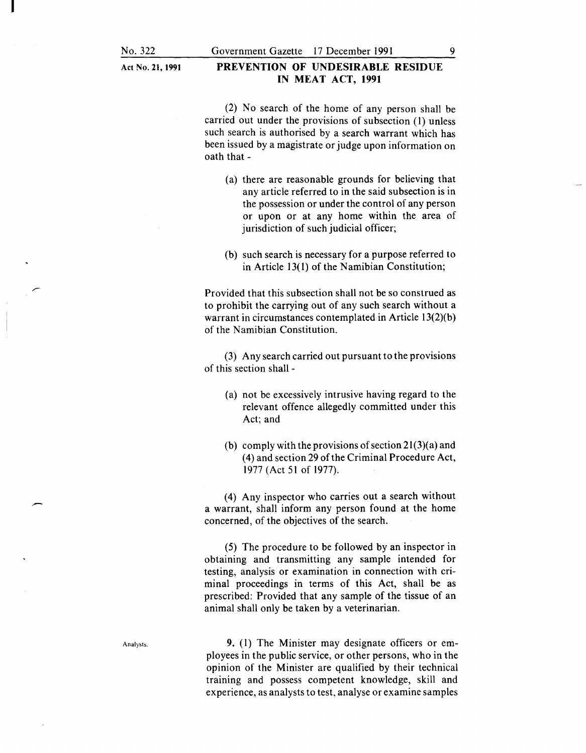Act No. 21, **1991** 

#### **PREVENTION OF UNDESIRABLE RESIDUE IN MEAT ACT, 1991**

(2) No search of the home of any person shall be carried out under the provisions of subsection (1) unless such search is authorised by a search warrant which has been issued by a magistrate or judge upon information on oath that-

- (a) there are reasonable grounds for believing that any article referred to in the said subsection is in the possession or under the control of any person or upon or at any home within the area of jurisdiction of such judicial officer;
- (b) such search is necessary for a purpose referred to in Article 13( **l)** of the Namibian Constitution;

Provided that this subsection shall not be so construed as to prohibit the carrying out of any such search without a warrant in circumstances contemplated in Article 13(2)(b) of the Namibian Constitution.

(3) Any search carried out pursuant to the provisions of this section shall -

- (a) not be excessively intrusive having regard to the relevant offence allegedly committed under this Act; and
- (b) comply with the provisions of section  $21(3)(a)$  and (4) and section 29 ofthe Criminal Procedure Act, 1977 (Act 51 of 1977).

(4) Any inspector who carries out a search without a warrant, shall inform any person found at the home concerned, of the objectives of the search.

(5) The procedure to be followed by an inspector in obtaining and transmitting any sample intended for testing, analysis or examination in connection with criminal proceedings in terms of this Act, shall be as prescribed: Provided that any sample of the tissue of an animal shall only be taken by a veterinarian.

Analysts.

**9.** (1) The Minister may designate officers or employees in the public service, or other persons, who in the opinion of the Minister are qualified by their technical training and possess competent knowledge, skill and experience, as analysts to test, analyse or examine samples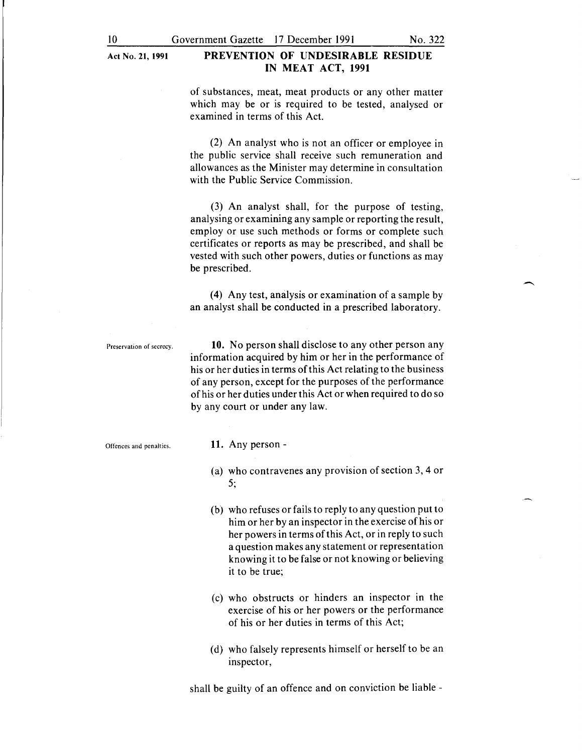of substances, meat, meat products or any other matter which may be or is required to be tested, analysed or examined in terms of this Act.

(2) An analyst who is not an officer or employee in the public service shall receive such remuneration and allowances as the Minister may determine in consultation with the Public Service Commission.

(3) An analyst shall, for the purpose of testing, analysing or examining any sample or reporting the result, employ or use such methods or forms or complete such certificates or reports as may be prescribed, and shall be vested with such other powers, duties or functions as may be prescribed.

**(4)** Any test, analysis or examination of a sample by an analyst shall be conducted in a prescribed laboratory.

Preservation of secrecy.

**10.** No person shall disclose to any other person any information acquired by him or her in the performance of his or her duties in terms of this Act relating to the business of any person, except for the purposes of the performance of his or her duties under this Act or when required to do so by any court or under any law.

Offences and penalties.

#### **11.** Any person-

- (a) who contravenes any provision of section 3, 4 or 5;
- (b) who refuses or fails to reply to any question put to him or her by an inspector in the exercise of his or her powers in terms of this Act, or in reply to such a question makes any statement or representation knowing it to be false or not knowing or believing it to be true;
- (c) who obstructs or hinders an inspector in the exercise of his or her powers or the performance of his or her duties in terms of this Act;
- (d) who falsely represents himself or herself to be an inspector,

shall be guilty of an offence and on conviction be liable -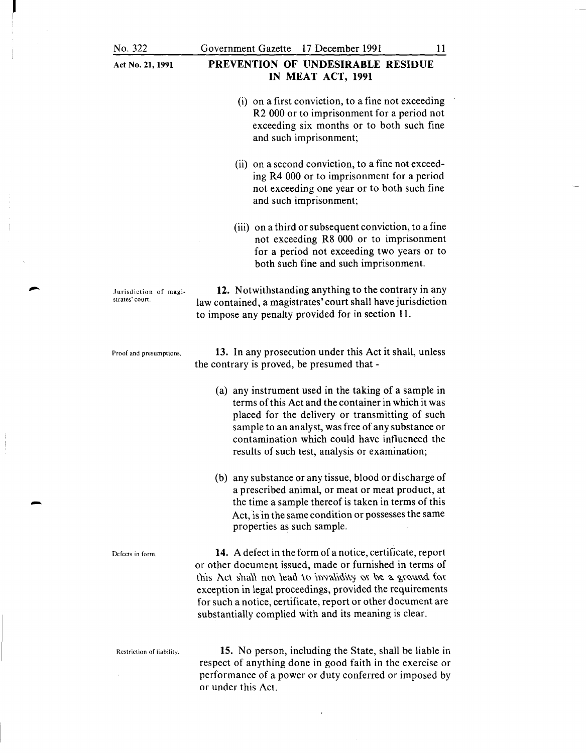strates' court.

Proof and presumptions.

|  |  |  | Act No. 21, 1991 |  |
|--|--|--|------------------|--|
|--|--|--|------------------|--|

#### PREVENTION OF UNDESIRABLE RESIDUE IN MEAT ACT, 1991

- (i) on a first conviction, to a fine not exceeding R2 000 or to imprisonment for a period not exceeding six months or to both such fine and such imprisonment;
- (ii) on a second conviction, to a fine not exceeding R4 000 or to imprisonment for a period not exceeding one year or to both such fine and such imprisonment;
- (iii) on a third or subsequent conviction, to a fine not exceeding R8 000 or to imprisonment for a period not exceeding two years or to both such fine and such imprisonment.

Jurisdiction of magi-12. Notwithstanding anything to the contrary in any law contained, a magistrates' court shall have jurisdiction to impose any penalty provided for in section 11.

> 13. In any prosecution under this Act it shall, unless the contrary is proved, be presumed that -

- (a) any instrument used in the taking of a sample in terms of this Act and the container in which it was placed for the delivery or transmitting of such sample to an analyst, was free of any substance or contamination which could have influenced the results of such test, analysis or examination;
- (b) any substance or any tissue, blood or discharge of a prescribed animal, or meat or meat product, at the time a sample thereof is taken in terms of this Act, is in the same condition or possesses the same properties as such sample.

Defects in form. 14. A defect in the form of a notice, certificate, report or other document issued, made or furnished in terms of this Act shall not lead to invalidity or be a ground for exception in legal proceedings, provided the requirements for such a notice, certificate, report or other document are substantially complied with and its meaning is clear.

-

Restriction of liability. 15. No person, including the State, shall be liable in respect of anything done in good faith in the exercise or performance of a power or duty conferred or imposed by or under this Act.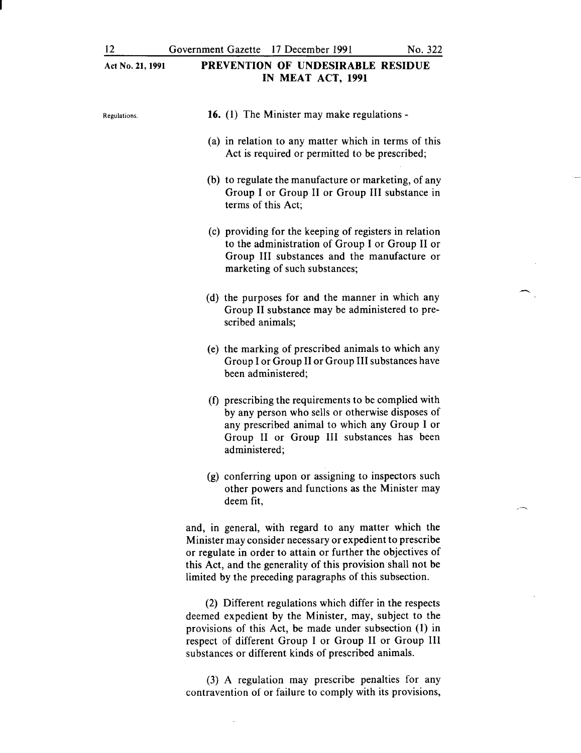$\overline{\phantom{1}}$ 

| PREVENTION OF UNDESIRABLE RESIDUE<br>Act No. 21, 1991<br>IN MEAT ACT, 1991 |                                                                                                                                                                                                                                                                                                            |
|----------------------------------------------------------------------------|------------------------------------------------------------------------------------------------------------------------------------------------------------------------------------------------------------------------------------------------------------------------------------------------------------|
| Regulations.                                                               | 16. (1) The Minister may make regulations -                                                                                                                                                                                                                                                                |
|                                                                            | (a) in relation to any matter which in terms of this<br>Act is required or permitted to be prescribed;                                                                                                                                                                                                     |
|                                                                            | (b) to regulate the manufacture or marketing, of any<br>Group I or Group II or Group III substance in<br>terms of this Act;                                                                                                                                                                                |
|                                                                            | (c) providing for the keeping of registers in relation<br>to the administration of Group I or Group II or<br>Group III substances and the manufacture or<br>marketing of such substances;                                                                                                                  |
|                                                                            | (d) the purposes for and the manner in which any<br>Group II substance may be administered to pre-<br>scribed animals;                                                                                                                                                                                     |
|                                                                            | (e) the marking of prescribed animals to which any<br>Group I or Group II or Group III substances have<br>been administered;                                                                                                                                                                               |
|                                                                            | (f) prescribing the requirements to be complied with<br>by any person who sells or otherwise disposes of<br>any prescribed animal to which any Group I or<br>Group II or Group III substances has been<br>administered;                                                                                    |
|                                                                            | (g) conferring upon or assigning to inspectors such<br>other powers and functions as the Minister may<br>deem fit,                                                                                                                                                                                         |
|                                                                            | and, in general, with regard to any matter which the<br>Minister may consider necessary or expedient to prescribe<br>or regulate in order to attain or further the objectives of<br>this Act, and the generality of this provision shall not be<br>limited by the preceding paragraphs of this subsection. |

(2) Different regulations which differ in the respects deemed expedient by the Minister, may, subject to the provisions of this Act, be made under subsection (1) in respect of different Group I or Group II or Group III substances or different kinds of prescribed animals.

(3) A regulation may prescribe penalties for any contravention of or failure to comply with its provisions,